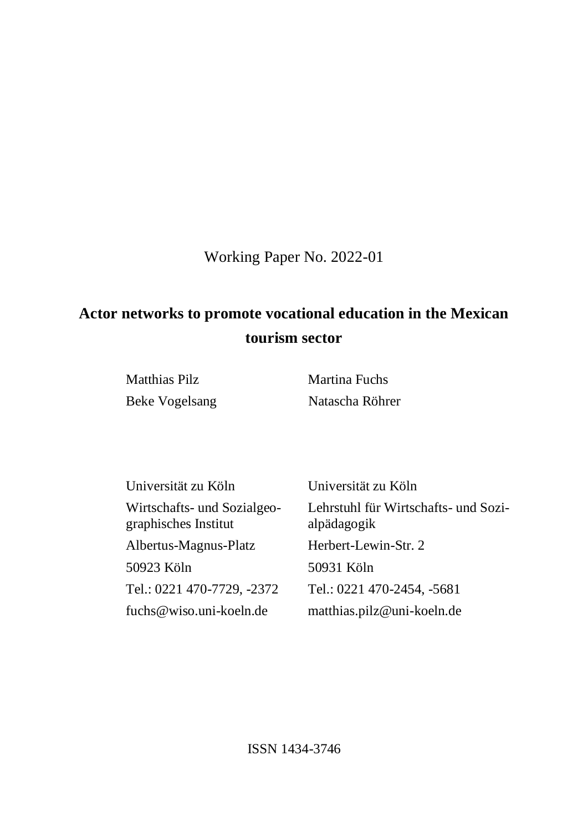Working Paper No. 2022-01

# **Actor networks to promote vocational education in the Mexican tourism sector**

Matthias Pilz Martina Fuchs

Beke Vogelsang Natascha Röhrer

| Universität zu Köln                                 | Universität zu Köln                                 |
|-----------------------------------------------------|-----------------------------------------------------|
| Wirtschafts- und Sozialgeo-<br>graphisches Institut | Lehrstuhl für Wirtschafts- und Sozi-<br>alpädagogik |
| Albertus-Magnus-Platz                               | Herbert-Lewin-Str. 2                                |
| 50923 Köln                                          | 50931 Köln                                          |
| Tel.: 0221 470-7729, -2372                          | Tel.: 0221 470-2454, -5681                          |
| fuchs@wiso.uni-koeln.de                             | matthias.pilz@uni-koeln.de                          |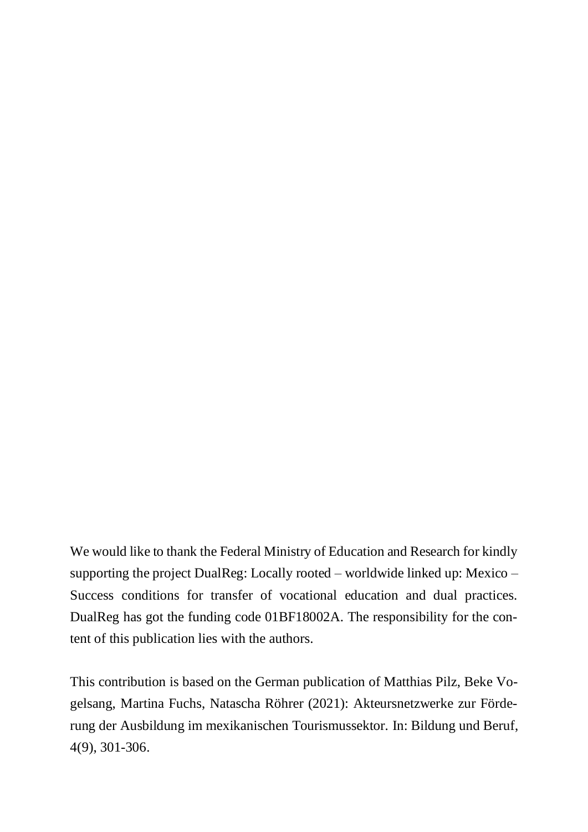We would like to thank the Federal Ministry of Education and Research for kindly supporting the project DualReg: Locally rooted – worldwide linked up: Mexico – Success conditions for transfer of vocational education and dual practices. DualReg has got the funding code 01BF18002A. The responsibility for the content of this publication lies with the authors.

This contribution is based on the German publication of Matthias Pilz, Beke Vogelsang, Martina Fuchs, Natascha Röhrer (2021): Akteursnetzwerke zur Förderung der Ausbildung im mexikanischen Tourismussektor. In: Bildung und Beruf, 4(9), 301-306.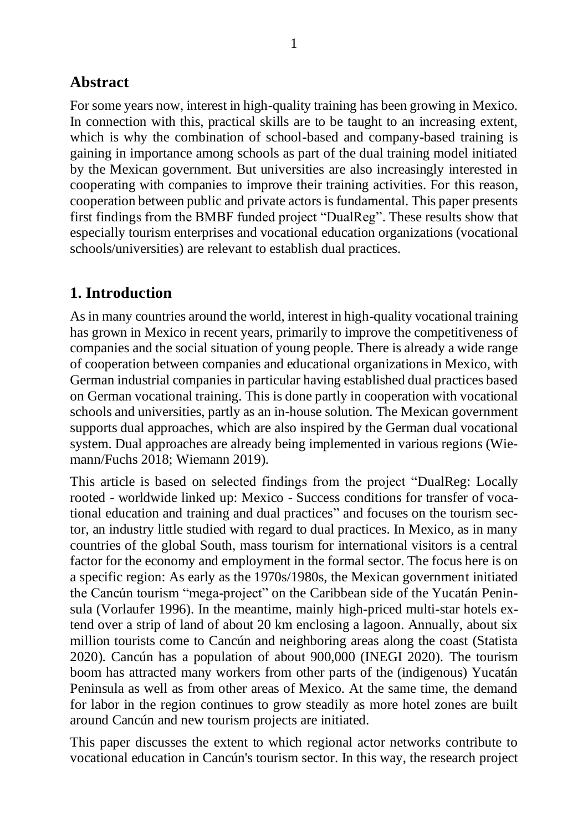### **Abstract**

For some years now, interest in high-quality training has been growing in Mexico. In connection with this, practical skills are to be taught to an increasing extent, which is why the combination of school-based and company-based training is gaining in importance among schools as part of the dual training model initiated by the Mexican government. But universities are also increasingly interested in cooperating with companies to improve their training activities. For this reason, cooperation between public and private actors is fundamental. This paper presents first findings from the BMBF funded project "DualReg". These results show that especially tourism enterprises and vocational education organizations (vocational schools/universities) are relevant to establish dual practices.

## **1. Introduction**

As in many countries around the world, interest in high-quality vocational training has grown in Mexico in recent years, primarily to improve the competitiveness of companies and the social situation of young people. There is already a wide range of cooperation between companies and educational organizationsin Mexico, with German industrial companies in particular having established dual practices based on German vocational training. This is done partly in cooperation with vocational schools and universities, partly as an in-house solution. The Mexican government supports dual approaches, which are also inspired by the German dual vocational system. Dual approaches are already being implemented in various regions (Wiemann/Fuchs 2018; Wiemann 2019).

This article is based on selected findings from the project "DualReg: Locally rooted - worldwide linked up: Mexico - Success conditions for transfer of vocational education and training and dual practices" and focuses on the tourism sector, an industry little studied with regard to dual practices. In Mexico, as in many countries of the global South, mass tourism for international visitors is a central factor for the economy and employment in the formal sector. The focus here is on a specific region: As early as the 1970s/1980s, the Mexican government initiated the Cancún tourism "mega-project" on the Caribbean side of the Yucatán Peninsula (Vorlaufer 1996). In the meantime, mainly high-priced multi-star hotels extend over a strip of land of about 20 km enclosing a lagoon. Annually, about six million tourists come to Cancún and neighboring areas along the coast (Statista 2020). Cancún has a population of about 900,000 (INEGI 2020). The tourism boom has attracted many workers from other parts of the (indigenous) Yucatán Peninsula as well as from other areas of Mexico. At the same time, the demand for labor in the region continues to grow steadily as more hotel zones are built around Cancún and new tourism projects are initiated.

This paper discusses the extent to which regional actor networks contribute to vocational education in Cancún's tourism sector. In this way, the research project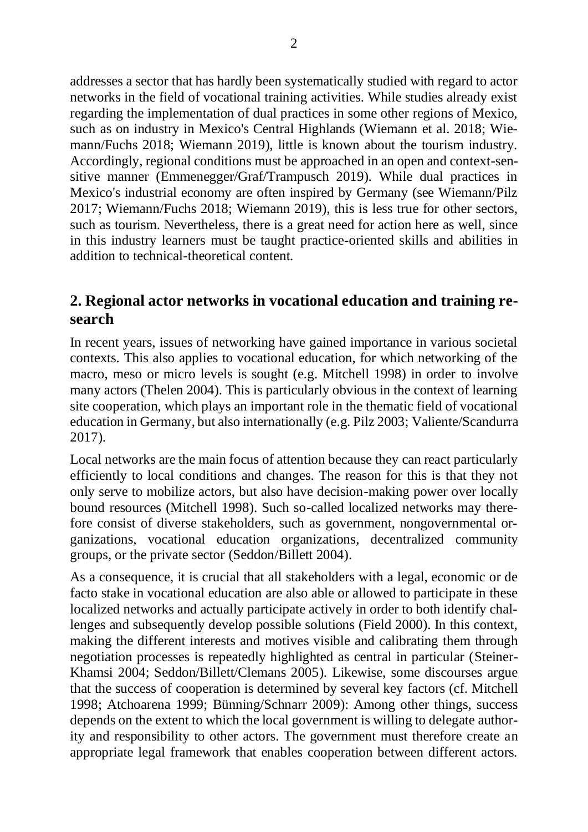addresses a sector that has hardly been systematically studied with regard to actor networks in the field of vocational training activities. While studies already exist regarding the implementation of dual practices in some other regions of Mexico, such as on industry in Mexico's Central Highlands (Wiemann et al. 2018; Wiemann/Fuchs 2018; Wiemann 2019), little is known about the tourism industry. Accordingly, regional conditions must be approached in an open and context-sensitive manner (Emmenegger/Graf/Trampusch 2019). While dual practices in Mexico's industrial economy are often inspired by Germany (see Wiemann/Pilz 2017; Wiemann/Fuchs 2018; Wiemann 2019), this is less true for other sectors, such as tourism. Nevertheless, there is a great need for action here as well, since in this industry learners must be taught practice-oriented skills and abilities in addition to technical-theoretical content.

#### **2. Regional actor networks in vocational education and training research**

In recent years, issues of networking have gained importance in various societal contexts. This also applies to vocational education, for which networking of the macro, meso or micro levels is sought (e.g. Mitchell 1998) in order to involve many actors (Thelen 2004). This is particularly obvious in the context of learning site cooperation, which plays an important role in the thematic field of vocational education in Germany, but also internationally (e.g. Pilz 2003; Valiente/Scandurra 2017).

Local networks are the main focus of attention because they can react particularly efficiently to local conditions and changes. The reason for this is that they not only serve to mobilize actors, but also have decision-making power over locally bound resources (Mitchell 1998). Such so-called localized networks may therefore consist of diverse stakeholders, such as government, nongovernmental organizations, vocational education organizations, decentralized community groups, or the private sector (Seddon/Billett 2004).

As a consequence, it is crucial that all stakeholders with a legal, economic or de facto stake in vocational education are also able or allowed to participate in these localized networks and actually participate actively in order to both identify challenges and subsequently develop possible solutions (Field 2000). In this context, making the different interests and motives visible and calibrating them through negotiation processes is repeatedly highlighted as central in particular (Steiner-Khamsi 2004; Seddon/Billett/Clemans 2005). Likewise, some discourses argue that the success of cooperation is determined by several key factors (cf. Mitchell 1998; Atchoarena 1999; Bünning/Schnarr 2009): Among other things, success depends on the extent to which the local government is willing to delegate authority and responsibility to other actors. The government must therefore create an appropriate legal framework that enables cooperation between different actors.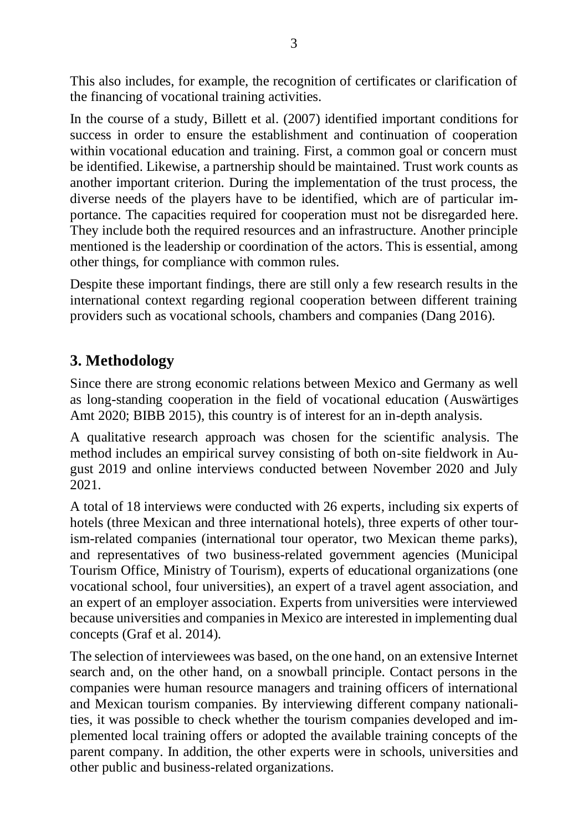This also includes, for example, the recognition of certificates or clarification of the financing of vocational training activities.

In the course of a study, Billett et al. (2007) identified important conditions for success in order to ensure the establishment and continuation of cooperation within vocational education and training. First, a common goal or concern must be identified. Likewise, a partnership should be maintained. Trust work counts as another important criterion. During the implementation of the trust process, the diverse needs of the players have to be identified, which are of particular importance. The capacities required for cooperation must not be disregarded here. They include both the required resources and an infrastructure. Another principle mentioned is the leadership or coordination of the actors. This is essential, among other things, for compliance with common rules.

Despite these important findings, there are still only a few research results in the international context regarding regional cooperation between different training providers such as vocational schools, chambers and companies (Dang 2016).

### **3. Methodology**

Since there are strong economic relations between Mexico and Germany as well as long-standing cooperation in the field of vocational education (Auswärtiges Amt 2020; BIBB 2015), this country is of interest for an in-depth analysis.

A qualitative research approach was chosen for the scientific analysis. The method includes an empirical survey consisting of both on-site fieldwork in August 2019 and online interviews conducted between November 2020 and July 2021.

A total of 18 interviews were conducted with 26 experts, including six experts of hotels (three Mexican and three international hotels), three experts of other tourism-related companies (international tour operator, two Mexican theme parks), and representatives of two business-related government agencies (Municipal Tourism Office, Ministry of Tourism), experts of educational organizations (one vocational school, four universities), an expert of a travel agent association, and an expert of an employer association. Experts from universities were interviewed because universities and companies in Mexico are interested in implementing dual concepts (Graf et al. 2014).

The selection of interviewees was based, on the one hand, on an extensive Internet search and, on the other hand, on a snowball principle. Contact persons in the companies were human resource managers and training officers of international and Mexican tourism companies. By interviewing different company nationalities, it was possible to check whether the tourism companies developed and implemented local training offers or adopted the available training concepts of the parent company. In addition, the other experts were in schools, universities and other public and business-related organizations.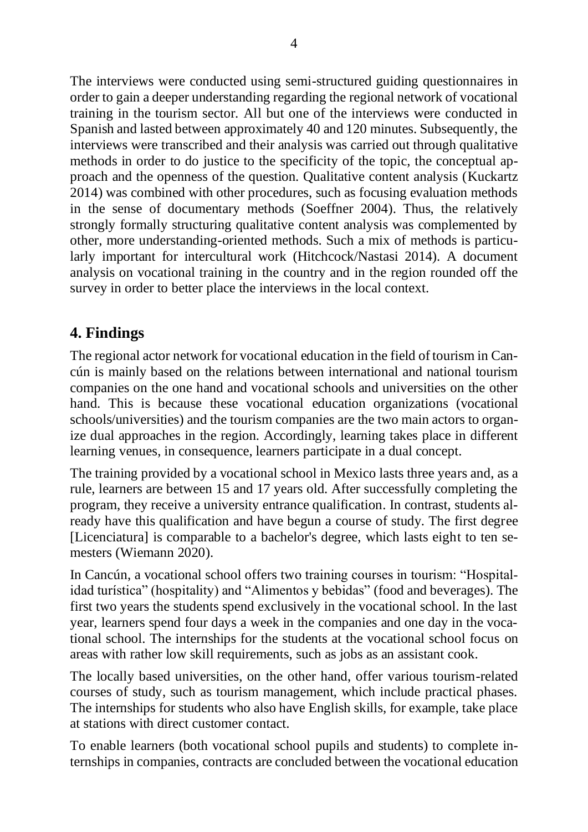The interviews were conducted using semi-structured guiding questionnaires in order to gain a deeper understanding regarding the regional network of vocational training in the tourism sector. All but one of the interviews were conducted in Spanish and lasted between approximately 40 and 120 minutes. Subsequently, the interviews were transcribed and their analysis was carried out through qualitative methods in order to do justice to the specificity of the topic, the conceptual approach and the openness of the question. Qualitative content analysis (Kuckartz 2014) was combined with other procedures, such as focusing evaluation methods in the sense of documentary methods (Soeffner 2004). Thus, the relatively strongly formally structuring qualitative content analysis was complemented by other, more understanding-oriented methods. Such a mix of methods is particularly important for intercultural work (Hitchcock/Nastasi 2014). A document analysis on vocational training in the country and in the region rounded off the survey in order to better place the interviews in the local context.

### **4. Findings**

The regional actor network for vocational education in the field of tourism in Cancún is mainly based on the relations between international and national tourism companies on the one hand and vocational schools and universities on the other hand. This is because these vocational education organizations (vocational schools/universities) and the tourism companies are the two main actors to organize dual approaches in the region. Accordingly, learning takes place in different learning venues, in consequence, learners participate in a dual concept.

The training provided by a vocational school in Mexico lasts three years and, as a rule, learners are between 15 and 17 years old. After successfully completing the program, they receive a university entrance qualification. In contrast, students already have this qualification and have begun a course of study. The first degree [Licenciatura] is comparable to a bachelor's degree, which lasts eight to ten semesters (Wiemann 2020).

In Cancún, a vocational school offers two training courses in tourism: "Hospitalidad turística" (hospitality) and "Alimentos y bebidas" (food and beverages). The first two years the students spend exclusively in the vocational school. In the last year, learners spend four days a week in the companies and one day in the vocational school. The internships for the students at the vocational school focus on areas with rather low skill requirements, such as jobs as an assistant cook.

The locally based universities, on the other hand, offer various tourism-related courses of study, such as tourism management, which include practical phases. The internships for students who also have English skills, for example, take place at stations with direct customer contact.

To enable learners (both vocational school pupils and students) to complete internships in companies, contracts are concluded between the vocational education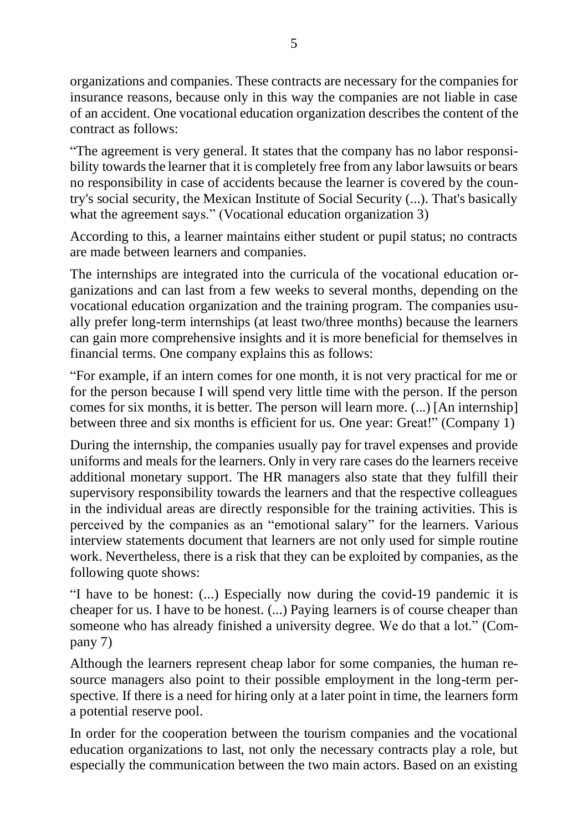organizations and companies. These contracts are necessary for the companies for insurance reasons, because only in this way the companies are not liable in case of an accident. One vocational education organization describes the content of the contract as follows:

"The agreement is very general. It states that the company has no labor responsibility towards the learner that it is completely free from any labor lawsuits or bears no responsibility in case of accidents because the learner is covered by the country's social security, the Mexican Institute of Social Security (...). That's basically what the agreement says." (Vocational education organization 3)

According to this, a learner maintains either student or pupil status; no contracts are made between learners and companies.

The internships are integrated into the curricula of the vocational education organizations and can last from a few weeks to several months, depending on the vocational education organization and the training program. The companies usually prefer long-term internships (at least two/three months) because the learners can gain more comprehensive insights and it is more beneficial for themselves in financial terms. One company explains this as follows:

"For example, if an intern comes for one month, it is not very practical for me or for the person because I will spend very little time with the person. If the person comes for six months, it is better. The person will learn more. (...) [An internship] between three and six months is efficient for us. One year: Great!" (Company 1)

During the internship, the companies usually pay for travel expenses and provide uniforms and meals for the learners. Only in very rare cases do the learners receive additional monetary support. The HR managers also state that they fulfill their supervisory responsibility towards the learners and that the respective colleagues in the individual areas are directly responsible for the training activities. This is perceived by the companies as an "emotional salary" for the learners. Various interview statements document that learners are not only used for simple routine work. Nevertheless, there is a risk that they can be exploited by companies, as the following quote shows:

"I have to be honest: (...) Especially now during the covid-19 pandemic it is cheaper for us. I have to be honest. (...) Paying learners is of course cheaper than someone who has already finished a university degree. We do that a lot." (Company 7)

Although the learners represent cheap labor for some companies, the human resource managers also point to their possible employment in the long-term perspective. If there is a need for hiring only at a later point in time, the learners form a potential reserve pool.

In order for the cooperation between the tourism companies and the vocational education organizations to last, not only the necessary contracts play a role, but especially the communication between the two main actors. Based on an existing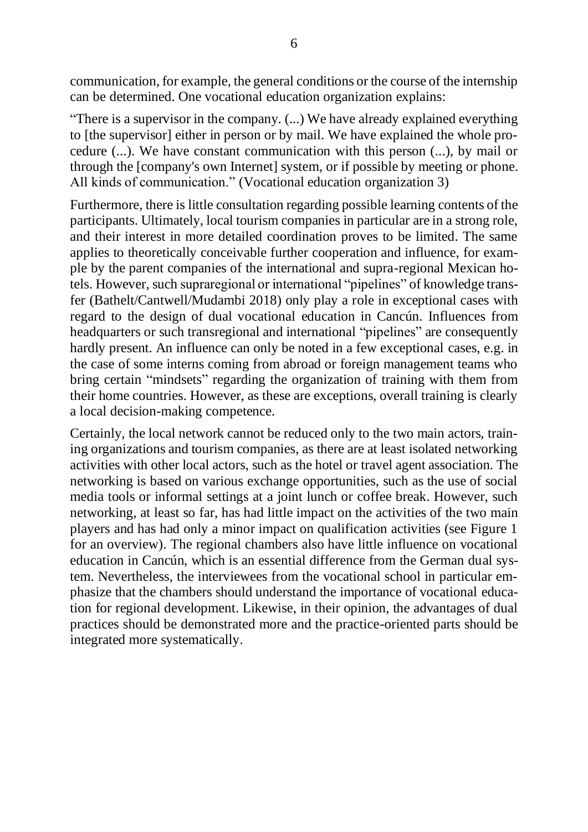communication, for example, the general conditions or the course of the internship can be determined. One vocational education organization explains:

"There is a supervisor in the company. (...) We have already explained everything to [the supervisor] either in person or by mail. We have explained the whole procedure (...). We have constant communication with this person (...), by mail or through the [company's own Internet] system, or if possible by meeting or phone. All kinds of communication." (Vocational education organization 3)

Furthermore, there is little consultation regarding possible learning contents of the participants. Ultimately, local tourism companies in particular are in a strong role, and their interest in more detailed coordination proves to be limited. The same applies to theoretically conceivable further cooperation and influence, for example by the parent companies of the international and supra-regional Mexican hotels. However, such supraregional or international "pipelines" of knowledge transfer (Bathelt/Cantwell/Mudambi 2018) only play a role in exceptional cases with regard to the design of dual vocational education in Cancún. Influences from headquarters or such transregional and international "pipelines" are consequently hardly present. An influence can only be noted in a few exceptional cases, e.g. in the case of some interns coming from abroad or foreign management teams who bring certain "mindsets" regarding the organization of training with them from their home countries. However, as these are exceptions, overall training is clearly a local decision-making competence.

Certainly, the local network cannot be reduced only to the two main actors, training organizations and tourism companies, as there are at least isolated networking activities with other local actors, such as the hotel or travel agent association. The networking is based on various exchange opportunities, such as the use of social media tools or informal settings at a joint lunch or coffee break. However, such networking, at least so far, has had little impact on the activities of the two main players and has had only a minor impact on qualification activities (see Figure 1 for an overview). The regional chambers also have little influence on vocational education in Cancún, which is an essential difference from the German dual system. Nevertheless, the interviewees from the vocational school in particular emphasize that the chambers should understand the importance of vocational education for regional development. Likewise, in their opinion, the advantages of dual practices should be demonstrated more and the practice-oriented parts should be integrated more systematically.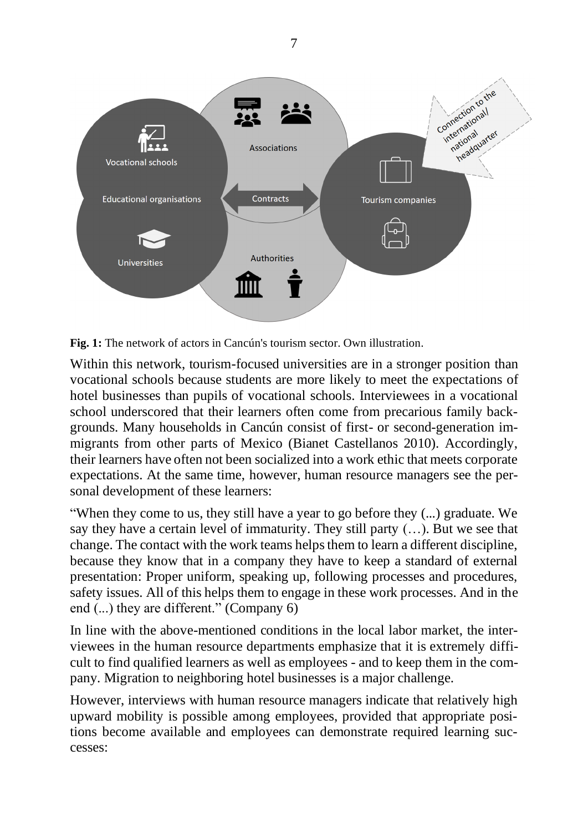

**Fig. 1:** The network of actors in Cancún's tourism sector. Own illustration.

Within this network, tourism-focused universities are in a stronger position than vocational schools because students are more likely to meet the expectations of hotel businesses than pupils of vocational schools. Interviewees in a vocational school underscored that their learners often come from precarious family backgrounds. Many households in Cancún consist of first- or second-generation immigrants from other parts of Mexico (Bianet Castellanos 2010). Accordingly, their learners have often not been socialized into a work ethic that meets corporate expectations. At the same time, however, human resource managers see the personal development of these learners:

"When they come to us, they still have a year to go before they (...) graduate. We say they have a certain level of immaturity. They still party (…). But we see that change. The contact with the work teams helps them to learn a different discipline, because they know that in a company they have to keep a standard of external presentation: Proper uniform, speaking up, following processes and procedures, safety issues. All of this helps them to engage in these work processes. And in the end (...) they are different." (Company 6)

In line with the above-mentioned conditions in the local labor market, the interviewees in the human resource departments emphasize that it is extremely difficult to find qualified learners as well as employees - and to keep them in the company. Migration to neighboring hotel businesses is a major challenge.

However, interviews with human resource managers indicate that relatively high upward mobility is possible among employees, provided that appropriate positions become available and employees can demonstrate required learning successes:

7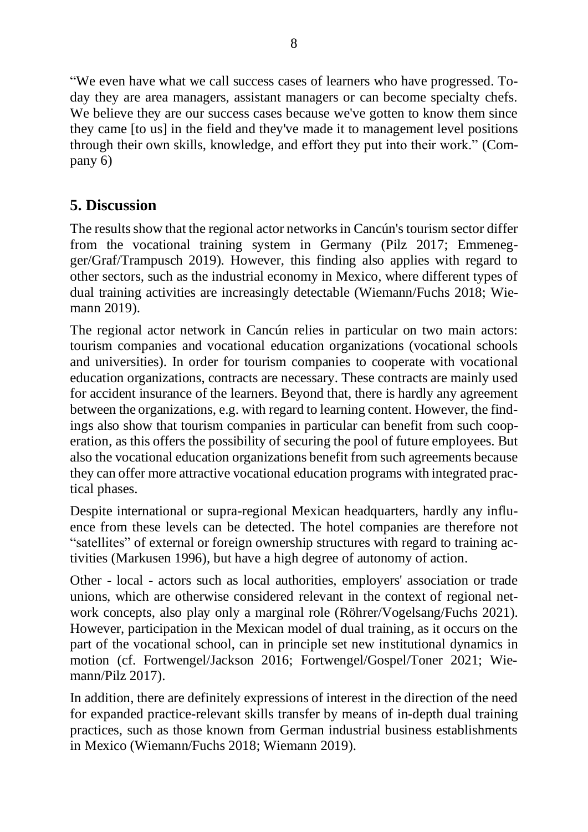"We even have what we call success cases of learners who have progressed. Today they are area managers, assistant managers or can become specialty chefs. We believe they are our success cases because we've gotten to know them since they came [to us] in the field and they've made it to management level positions through their own skills, knowledge, and effort they put into their work." (Company 6)

### **5. Discussion**

The results show that the regional actor networks in Cancún's tourism sector differ from the vocational training system in Germany (Pilz 2017; Emmenegger/Graf/Trampusch 2019). However, this finding also applies with regard to other sectors, such as the industrial economy in Mexico, where different types of dual training activities are increasingly detectable (Wiemann/Fuchs 2018; Wiemann 2019).

The regional actor network in Cancún relies in particular on two main actors: tourism companies and vocational education organizations (vocational schools and universities). In order for tourism companies to cooperate with vocational education organizations, contracts are necessary. These contracts are mainly used for accident insurance of the learners. Beyond that, there is hardly any agreement between the organizations, e.g. with regard to learning content. However, the findings also show that tourism companies in particular can benefit from such cooperation, as this offers the possibility of securing the pool of future employees. But also the vocational education organizations benefit from such agreements because they can offer more attractive vocational education programs with integrated practical phases.

Despite international or supra-regional Mexican headquarters, hardly any influence from these levels can be detected. The hotel companies are therefore not "satellites" of external or foreign ownership structures with regard to training activities (Markusen 1996), but have a high degree of autonomy of action.

Other - local - actors such as local authorities, employers' association or trade unions, which are otherwise considered relevant in the context of regional network concepts, also play only a marginal role (Röhrer/Vogelsang/Fuchs 2021). However, participation in the Mexican model of dual training, as it occurs on the part of the vocational school, can in principle set new institutional dynamics in motion (cf. Fortwengel/Jackson 2016; Fortwengel/Gospel/Toner 2021; Wiemann/Pilz 2017).

In addition, there are definitely expressions of interest in the direction of the need for expanded practice-relevant skills transfer by means of in-depth dual training practices, such as those known from German industrial business establishments in Mexico (Wiemann/Fuchs 2018; Wiemann 2019).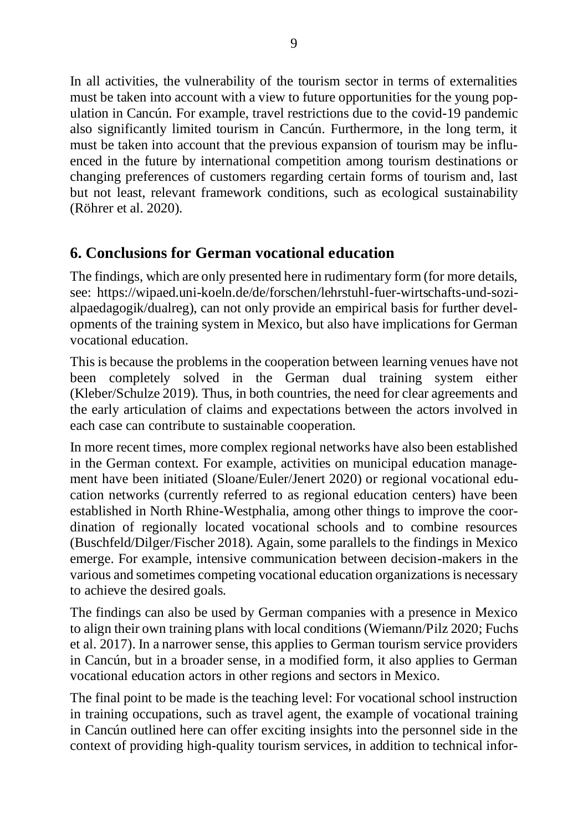In all activities, the vulnerability of the tourism sector in terms of externalities must be taken into account with a view to future opportunities for the young population in Cancún. For example, travel restrictions due to the covid-19 pandemic also significantly limited tourism in Cancún. Furthermore, in the long term, it must be taken into account that the previous expansion of tourism may be influenced in the future by international competition among tourism destinations or changing preferences of customers regarding certain forms of tourism and, last but not least, relevant framework conditions, such as ecological sustainability (Röhrer et al. 2020).

#### **6. Conclusions for German vocational education**

The findings, which are only presented here in rudimentary form (for more details, see: https://wipaed.uni-koeln.de/de/forschen/lehrstuhl-fuer-wirtschafts-und-sozialpaedagogik/dualreg), can not only provide an empirical basis for further developments of the training system in Mexico, but also have implications for German vocational education.

This is because the problems in the cooperation between learning venues have not been completely solved in the German dual training system either (Kleber/Schulze 2019). Thus, in both countries, the need for clear agreements and the early articulation of claims and expectations between the actors involved in each case can contribute to sustainable cooperation.

In more recent times, more complex regional networks have also been established in the German context. For example, activities on municipal education management have been initiated (Sloane/Euler/Jenert 2020) or regional vocational education networks (currently referred to as regional education centers) have been established in North Rhine-Westphalia, among other things to improve the coordination of regionally located vocational schools and to combine resources (Buschfeld/Dilger/Fischer 2018). Again, some parallels to the findings in Mexico emerge. For example, intensive communication between decision-makers in the various and sometimes competing vocational education organizations is necessary to achieve the desired goals.

The findings can also be used by German companies with a presence in Mexico to align their own training plans with local conditions (Wiemann/Pilz 2020; Fuchs et al. 2017). In a narrower sense, this applies to German tourism service providers in Cancún, but in a broader sense, in a modified form, it also applies to German vocational education actors in other regions and sectors in Mexico.

The final point to be made is the teaching level: For vocational school instruction in training occupations, such as travel agent, the example of vocational training in Cancún outlined here can offer exciting insights into the personnel side in the context of providing high-quality tourism services, in addition to technical infor-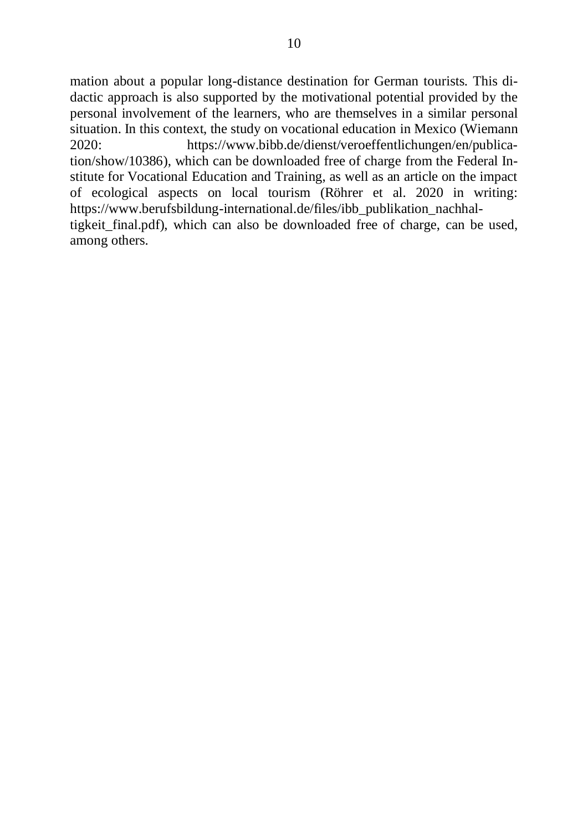mation about a popular long-distance destination for German tourists. This didactic approach is also supported by the motivational potential provided by the personal involvement of the learners, who are themselves in a similar personal situation. In this context, the study on vocational education in Mexico (Wiemann 2020: https://www.bibb.de/dienst/veroeffentlichungen/en/publication/show/10386), which can be downloaded free of charge from the Federal Institute for Vocational Education and Training, as well as an article on the impact of ecological aspects on local tourism (Röhrer et al. 2020 in writing: https://www.berufsbildung-international.de/files/ibb\_publikation\_nachhaltigkeit\_final.pdf), which can also be downloaded free of charge, can be used, among others.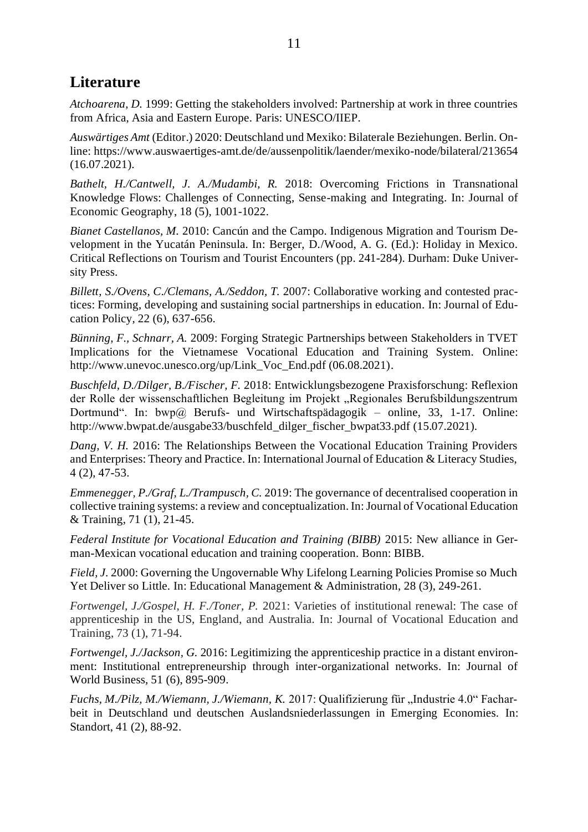#### **Literature**

*Atchoarena, D.* 1999: Getting the stakeholders involved: Partnership at work in three countries from Africa, Asia and Eastern Europe. Paris: UNESCO/IIEP.

*Auswärtiges Amt* (Editor.) 2020: Deutschland und Mexiko: Bilaterale Beziehungen. Berlin. Online: https://www.auswaertiges-amt.de/de/aussenpolitik/laender/mexiko-node/bilateral/213654 (16.07.2021).

*Bathelt, H./Cantwell, J. A./Mudambi, R.* 2018: Overcoming Frictions in Transnational Knowledge Flows: Challenges of Connecting, Sense-making and Integrating. In: Journal of Economic Geography, 18 (5), 1001-1022.

*Bianet Castellanos, M.* 2010: Cancún and the Campo. Indigenous Migration and Tourism Development in the Yucatán Peninsula. In: Berger, D./Wood, A. G. (Ed.): Holiday in Mexico. Critical Reflections on Tourism and Tourist Encounters (pp. 241-284). Durham: Duke University Press.

*Billett, S./Ovens, C./Clemans, A./Seddon, T. 2007: Collaborative working and contested prac*tices: Forming, developing and sustaining social partnerships in education. In: Journal of Education Policy, 22 (6), 637-656.

*Bünning, F., Schnarr, A.* 2009: Forging Strategic Partnerships between Stakeholders in TVET Implications for the Vietnamese Vocational Education and Training System. Online: http://www.unevoc.unesco.org/up/Link\_Voc\_End.pdf (06.08.2021).

*Buschfeld, D./Dilger, B./Fischer, F.* 2018: Entwicklungsbezogene Praxisforschung: Reflexion der Rolle der wissenschaftlichen Begleitung im Projekt "Regionales Berufsbildungszentrum Dortmund". In: bwp@ Berufs- und Wirtschaftspädagogik – online, 33, 1-17. Online: http://www.bwpat.de/ausgabe33/buschfeld\_dilger\_fischer\_bwpat33.pdf (15.07.2021).

*Dang, V. H.* 2016: The Relationships Between the Vocational Education Training Providers and Enterprises: Theory and Practice. In: International Journal of Education & Literacy Studies, 4 (2), 47-53.

*Emmenegger, P./Graf, L./Trampusch, C.* 2019: The governance of decentralised cooperation in collective training systems: a review and conceptualization. In:Journal of Vocational Education & Training, 71 (1), 21-45.

*Federal Institute for Vocational Education and Training (BIBB)* 2015: New alliance in German-Mexican vocational education and training cooperation. Bonn: BIBB.

*Field, J.* 2000: Governing the Ungovernable Why Lifelong Learning Policies Promise so Much Yet Deliver so Little. In: Educational Management & Administration, 28 (3), 249-261.

*Fortwengel, J./Gospel, H. F./Toner, P.* 2021: Varieties of institutional renewal: The case of apprenticeship in the US, England, and Australia. In: Journal of Vocational Education and Training, 73 (1), 71-94.

*Fortwengel, J./Jackson, G.* 2016: Legitimizing the apprenticeship practice in a distant environment: Institutional entrepreneurship through inter-organizational networks. In: Journal of World Business, 51 (6), 895-909.

*Fuchs, M./Pilz, M./Wiemann, J./Wiemann, K.* 2017: Qualifizierung für "Industrie 4.0" Facharbeit in Deutschland und deutschen Auslandsniederlassungen in Emerging Economies. In: Standort, 41 (2), 88-92.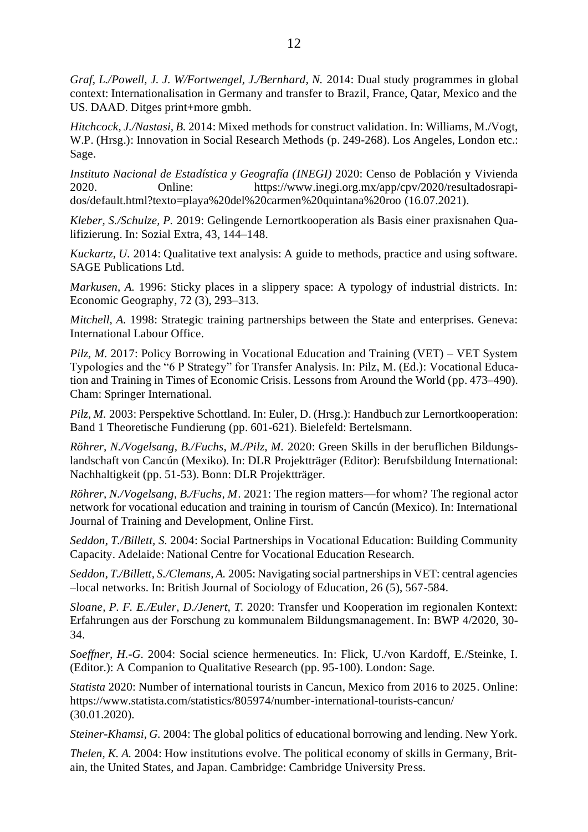*Graf, L./Powell, J. J. W/Fortwengel, J./Bernhard, N.* 2014: Dual study programmes in global context: Internationalisation in Germany and transfer to Brazil, France, Qatar, Mexico and the US. DAAD. Ditges print+more gmbh.

*Hitchcock, J./Nastasi, B.* 2014: Mixed methods for construct validation. In: Williams, M./Vogt, W.P. (Hrsg.): Innovation in Social Research Methods (p. 249-268). Los Angeles, London etc.: Sage.

*Instituto Nacional de Estadística y Geografía (INEGI)* 2020: Censo de Población y Vivienda 2020. Online: https://www.inegi.org.mx/app/cpv/2020/resultadosrapidos/default.html?texto=playa%20del%20carmen%20quintana%20roo (16.07.2021).

*Kleber, S./Schulze, P.* 2019: Gelingende Lernortkooperation als Basis einer praxisnahen Qualifizierung. In: Sozial Extra, 43, 144–148.

*Kuckartz, U.* 2014: Qualitative text analysis: A guide to methods, practice and using software. SAGE Publications Ltd.

*Markusen, A.* 1996: Sticky places in a slippery space: A typology of industrial districts. In: Economic Geography, 72 (3), 293–313.

*Mitchell, A.* 1998: Strategic training partnerships between the State and enterprises. Geneva: International Labour Office.

*Pilz, M.* 2017: Policy Borrowing in Vocational Education and Training (VET) – VET System Typologies and the "6 P Strategy" for Transfer Analysis. In: Pilz, M. (Ed.): Vocational Education and Training in Times of Economic Crisis. Lessons from Around the World (pp. 473–490). Cham: Springer International.

*Pilz, M.* 2003: Perspektive Schottland. In: Euler, D. (Hrsg.): Handbuch zur Lernortkooperation: Band 1 Theoretische Fundierung (pp. 601-621). Bielefeld: Bertelsmann.

*Röhrer, N./Vogelsang, B./Fuchs, M./Pilz, M.* 2020: Green Skills in der beruflichen Bildungslandschaft von Cancún (Mexiko). In: DLR Projektträger (Editor): Berufsbildung International: Nachhaltigkeit (pp. 51-53). Bonn: DLR Projektträger.

*Röhrer, N./Vogelsang, B./Fuchs, M*. 2021: The region matters—for whom? The regional actor network for vocational education and training in tourism of Cancún (Mexico). In: International Journal of Training and Development, Online First.

*Seddon, T./Billett, S.* 2004: Social Partnerships in Vocational Education: Building Community Capacity. Adelaide: National Centre for Vocational Education Research.

*Seddon, T./Billett, S./Clemans, A.* 2005: Navigating social partnerships in VET: central agencies –local networks. In: British Journal of Sociology of Education, 26 (5), 567-584.

*Sloane, P. F. E./Euler, D./Jenert, T.* 2020: Transfer und Kooperation im regionalen Kontext: Erfahrungen aus der Forschung zu kommunalem Bildungsmanagement. In: BWP 4/2020, 30- 34.

*Soeffner, H.-G.* 2004: Social science hermeneutics. In: Flick, U./von Kardoff, E./Steinke, I. (Editor.): A Companion to Qualitative Research (pp. 95-100). London: Sage.

*Statista* 2020: Number of international tourists in Cancun, Mexico from 2016 to 2025. Online: https://www.statista.com/statistics/805974/number-international-tourists-cancun/ (30.01.2020).

*Steiner-Khamsi, G.* 2004: The global politics of educational borrowing and lending. New York.

*Thelen, K. A.* 2004: How institutions evolve. The political economy of skills in Germany, Britain, the United States, and Japan. Cambridge: Cambridge University Press.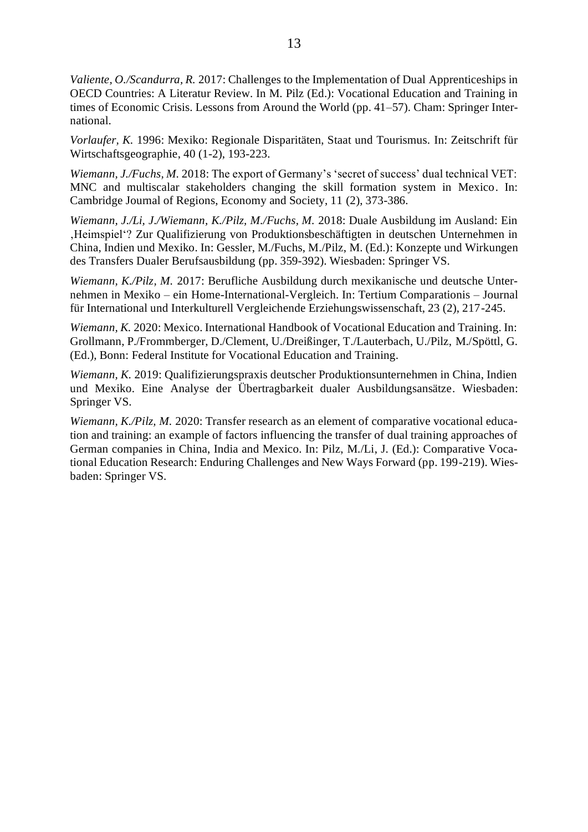*Valiente, O./Scandurra, R.* 2017: Challenges to the Implementation of Dual Apprenticeships in OECD Countries: A Literatur Review. In M. Pilz (Ed.): Vocational Education and Training in times of Economic Crisis. Lessons from Around the World (pp. 41–57). Cham: Springer International.

*Vorlaufer, K.* 1996: Mexiko: Regionale Disparitäten, Staat und Tourismus. In: Zeitschrift für Wirtschaftsgeographie, 40 (1-2), 193-223.

*Wiemann, J./Fuchs, M.* 2018: The export of Germany's 'secret of success' dual technical VET: MNC and multiscalar stakeholders changing the skill formation system in Mexico. In: Cambridge Journal of Regions, Economy and Society, 11 (2), 373-386.

*Wiemann, J./Li, J./Wiemann, K./Pilz, M./Fuchs, M.* 2018: Duale Ausbildung im Ausland: Ein 'Heimspiel'? Zur Qualifizierung von Produktionsbeschäftigten in deutschen Unternehmen in China, Indien und Mexiko. In: Gessler, M./Fuchs, M./Pilz, M. (Ed.): Konzepte und Wirkungen des Transfers Dualer Berufsausbildung (pp. 359-392). Wiesbaden: Springer VS.

*Wiemann, K./Pilz, M.* 2017: Berufliche Ausbildung durch mexikanische und deutsche Unternehmen in Mexiko – ein Home-International-Vergleich. In: Tertium Comparationis – Journal für International und Interkulturell Vergleichende Erziehungswissenschaft, 23 (2), 217-245.

*Wiemann, K.* 2020: Mexico. International Handbook of Vocational Education and Training. In: Grollmann, P./Frommberger, D./Clement, U./Dreißinger, T./Lauterbach, U./Pilz, M./Spöttl, G. (Ed.), Bonn: Federal Institute for Vocational Education and Training.

*Wiemann, K.* 2019: Qualifizierungspraxis deutscher Produktionsunternehmen in China, Indien und Mexiko. Eine Analyse der Übertragbarkeit dualer Ausbildungsansätze. Wiesbaden: Springer VS.

*Wiemann, K./Pilz, M.* 2020: Transfer research as an element of comparative vocational education and training: an example of factors influencing the transfer of dual training approaches of German companies in China, India and Mexico. In: Pilz, M./Li, J. (Ed.): Comparative Vocational Education Research: Enduring Challenges and New Ways Forward (pp. 199-219). Wiesbaden: Springer VS.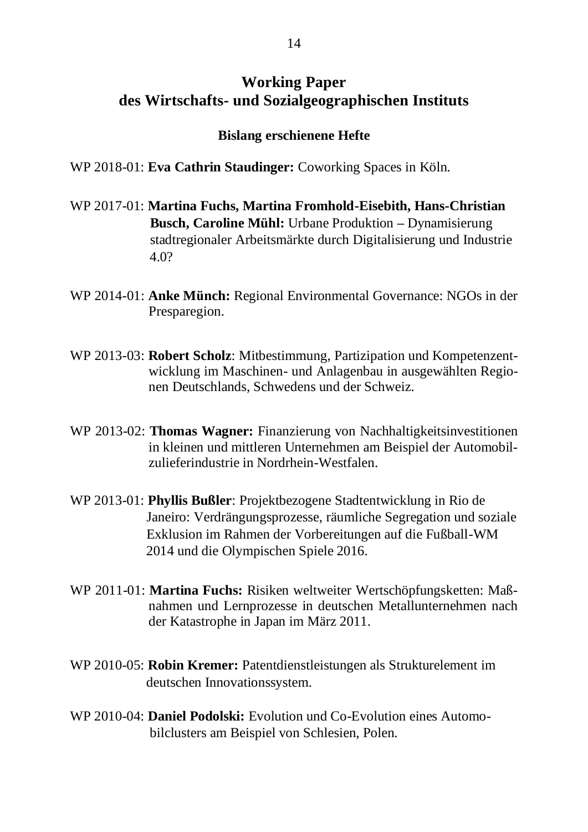#### **Working Paper des Wirtschafts- und Sozialgeographischen Instituts**

#### **Bislang erschienene Hefte**

WP 2018-01: **Eva Cathrin Staudinger:** Coworking Spaces in Köln.

- WP 2017-01: **Martina Fuchs, Martina Fromhold-Eisebith, Hans-Christian Busch, Caroline Mühl:** Urbane Produktion **–** Dynamisierung stadtregionaler Arbeitsmärkte durch Digitalisierung und Industrie 4.0?
- WP 2014-01: **Anke Münch:** Regional Environmental Governance: NGOs in der Presparegion.
- WP 2013-03: **Robert Scholz**: Mitbestimmung, Partizipation und Kompetenzentwicklung im Maschinen- und Anlagenbau in ausgewählten Regionen Deutschlands, Schwedens und der Schweiz.
- WP 2013-02: **Thomas Wagner:** Finanzierung von Nachhaltigkeitsinvestitionen in kleinen und mittleren Unternehmen am Beispiel der Automobilzulieferindustrie in Nordrhein-Westfalen.
- WP 2013-01: **Phyllis Bußler**: Projektbezogene Stadtentwicklung in Rio de Janeiro: Verdrängungsprozesse, räumliche Segregation und soziale Exklusion im Rahmen der Vorbereitungen auf die Fußball-WM 2014 und die Olympischen Spiele 2016.
- WP 2011-01: **Martina Fuchs:** Risiken weltweiter Wertschöpfungsketten: Maßnahmen und Lernprozesse in deutschen Metallunternehmen nach der Katastrophe in Japan im März 2011.
- WP 2010-05: **Robin Kremer:** Patentdienstleistungen als Strukturelement im deutschen Innovationssystem.
- WP 2010-04: **Daniel Podolski:** Evolution und Co-Evolution eines Automo bilclusters am Beispiel von Schlesien, Polen.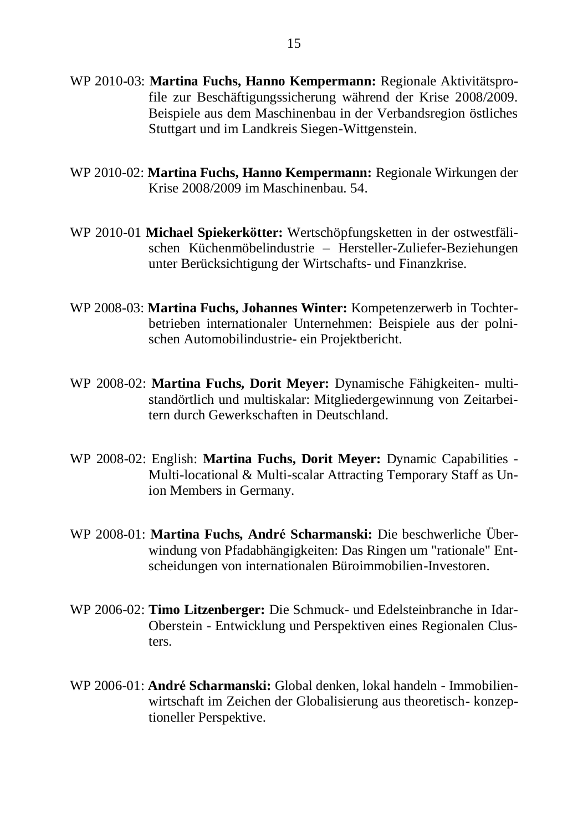- WP 2010-03: **Martina Fuchs, Hanno Kempermann:** Regionale Aktivitätsprofile zur Beschäftigungssicherung während der Krise 2008/2009. Beispiele aus dem Maschinenbau in der Verbandsregion östliches Stuttgart und im Landkreis Siegen-Wittgenstein.
- WP 2010-02: **Martina Fuchs, Hanno Kempermann:** Regionale Wirkungen der Krise 2008/2009 im Maschinenbau. 54.
- WP 2010-01 **Michael Spiekerkötter:** Wertschöpfungsketten in der ostwestfälischen Küchenmöbelindustrie – Hersteller-Zuliefer-Beziehungen unter Berücksichtigung der Wirtschafts- und Finanzkrise.
- WP 2008-03: **Martina Fuchs, Johannes Winter:** Kompetenzerwerb in Tochterbetrieben internationaler Unternehmen: Beispiele aus der polnischen Automobilindustrie- ein Projektbericht.
- WP 2008-02: **Martina Fuchs, Dorit Meyer:** Dynamische Fähigkeiten- multistandörtlich und multiskalar: Mitgliedergewinnung von Zeitarbeitern durch Gewerkschaften in Deutschland.
- WP 2008-02: English: **Martina Fuchs, Dorit Meyer:** Dynamic Capabilities Multi-locational & Multi-scalar Attracting Temporary Staff as Union Members in Germany.
- WP 2008-01: **Martina Fuchs, André Scharmanski:** Die beschwerliche Überwindung von Pfadabhängigkeiten: Das Ringen um "rationale" Entscheidungen von internationalen Büroimmobilien-Investoren.
- WP 2006-02: **Timo Litzenberger:** Die Schmuck- und Edelsteinbranche in Idar-Oberstein - Entwicklung und Perspektiven eines Regionalen Clusters.
- WP 2006-01: **André Scharmanski:** Global denken, lokal handeln Immobilienwirtschaft im Zeichen der Globalisierung aus theoretisch- konzeptioneller Perspektive.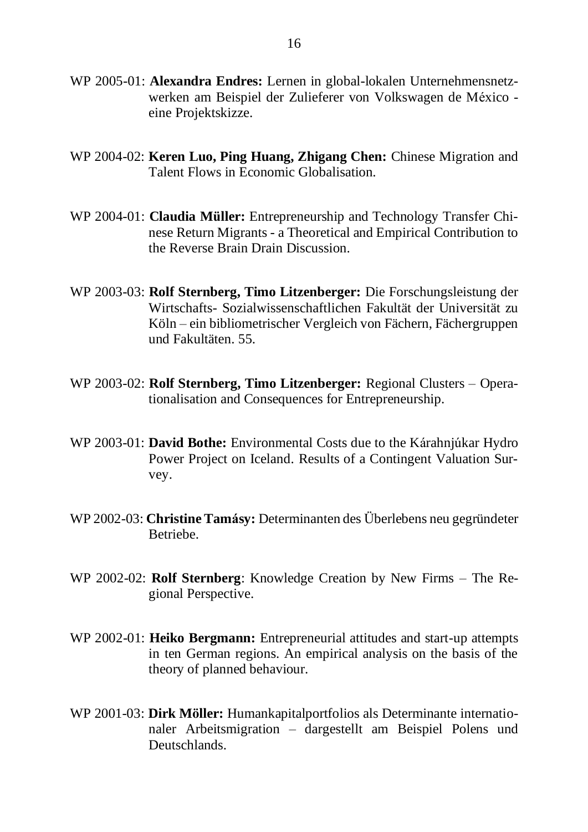- WP 2005-01: **Alexandra Endres:** Lernen in global-lokalen Unternehmensnetzwerken am Beispiel der Zulieferer von Volkswagen de México eine Projektskizze.
- WP 2004-02: **Keren Luo, Ping Huang, Zhigang Chen:** Chinese Migration and Talent Flows in Economic Globalisation.
- WP 2004-01: **Claudia Müller:** Entrepreneurship and Technology Transfer Chinese Return Migrants - a Theoretical and Empirical Contribution to the Reverse Brain Drain Discussion.
- WP 2003-03: **Rolf Sternberg, Timo Litzenberger:** Die Forschungsleistung der Wirtschafts- Sozialwissenschaftlichen Fakultät der Universität zu Köln – ein bibliometrischer Vergleich von Fächern, Fächergruppen und Fakultäten. 55.
- WP 2003-02: **Rolf Sternberg, Timo Litzenberger:** Regional Clusters Operationalisation and Consequences for Entrepreneurship.
- WP 2003-01: **David Bothe:** Environmental Costs due to the Kárahnjúkar Hydro Power Project on Iceland. Results of a Contingent Valuation Survey.
- WP 2002-03: **Christine Tamásy:** Determinanten des Überlebens neu gegründeter Betriebe.
- WP 2002-02: **Rolf Sternberg**: Knowledge Creation by New Firms The Regional Perspective.
- WP 2002-01: **Heiko Bergmann:** Entrepreneurial attitudes and start-up attempts in ten German regions. An empirical analysis on the basis of the theory of planned behaviour.
- WP 2001-03: **Dirk Möller:** Humankapitalportfolios als Determinante internationaler Arbeitsmigration – dargestellt am Beispiel Polens und Deutschlands.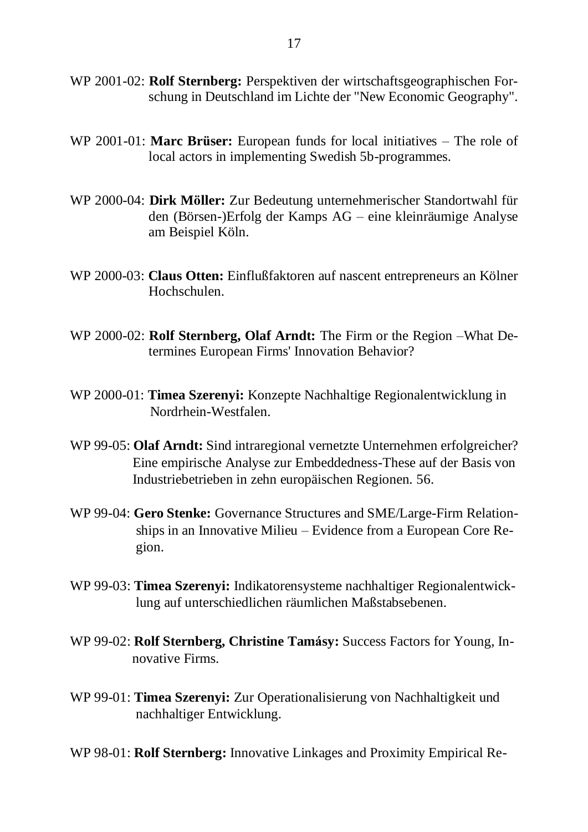- WP 2001-02: **Rolf Sternberg:** Perspektiven der wirtschaftsgeographischen Forschung in Deutschland im Lichte der "New Economic Geography".
- WP 2001-01: **Marc Brüser:** European funds for local initiatives The role of local actors in implementing Swedish 5b-programmes.
- WP 2000-04: **Dirk Möller:** Zur Bedeutung unternehmerischer Standortwahl für den (Börsen-)Erfolg der Kamps AG – eine kleinräumige Analyse am Beispiel Köln.
- WP 2000-03: **Claus Otten:** Einflußfaktoren auf nascent entrepreneurs an Kölner Hochschulen.
- WP 2000-02: **Rolf Sternberg, Olaf Arndt:** The Firm or the Region –What Determines European Firms' Innovation Behavior?
- WP 2000-01: **Timea Szerenyi:** Konzepte Nachhaltige Regionalentwicklung in Nordrhein-Westfalen.
- WP 99-05: **Olaf Arndt:** Sind intraregional vernetzte Unternehmen erfolgreicher? Eine empirische Analyse zur Embeddedness-These auf der Basis von Industriebetrieben in zehn europäischen Regionen. 56.
- WP 99-04: **Gero Stenke:** Governance Structures and SME/Large-Firm Relation ships in an Innovative Milieu – Evidence from a European Core Re gion.
- WP 99-03: **Timea Szerenyi:** Indikatorensysteme nachhaltiger Regionalentwick lung auf unterschiedlichen räumlichen Maßstabsebenen.
- WP 99-02: **Rolf Sternberg, Christine Tamásy:** Success Factors for Young, In novative Firms.
- WP 99-01: **Timea Szerenyi:** Zur Operationalisierung von Nachhaltigkeit und nachhaltiger Entwicklung.

WP 98-01: **Rolf Sternberg:** Innovative Linkages and Proximity Empirical Re-